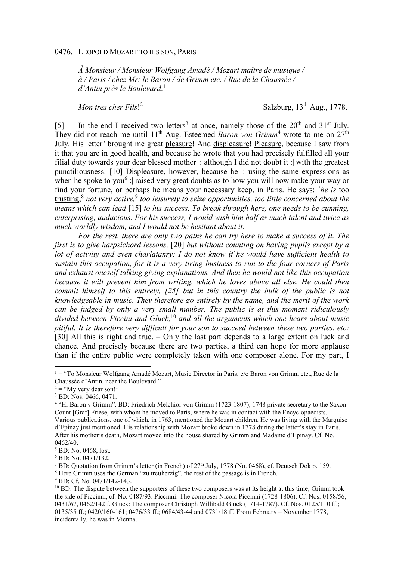*À Monsieur / Monsieur Wolfgang Amadé / Mozart maître de musique / à / Paris / chez Mr: le Baron / de Grimm etc. / Rue de la Chaussée / d'Antin près le Boulevard*. 1

*Mon tres cher Fils*! 2

Salzburg,  $13<sup>th</sup>$  Aug., 1778.

[5] In the end I received two letters<sup>3</sup> at once, namely those of the  $20<sup>th</sup>$  and  $31<sup>st</sup>$  July. They did not reach me until 11<sup>th</sup> Aug. Esteemed *Baron von Grimm*<sup>4</sup> wrote to me on 27<sup>th</sup> July. His letter<sup>5</sup> brought me great pleasure! And displeasure! Pleasure, because I saw from it that you are in good health, and because he wrote that you had precisely fulfilled all your filial duty towards your dear blessed mother |: although I did not doubt it :| with the greatest punctiliousness. [10] Displeasure, however, because he |: using the same expressions as when he spoke to you<sup>6</sup> : raised very great doubts as to how you will now make your way or find your fortune, or perhaps he means your necessary keep, in Paris. He says: <sup>7</sup>he is too trusting,<sup>8</sup> not very active,<sup>9</sup> too leisurely to seize opportunities, too little concerned about the *means which can lead* [15] *to his success. To break through here, one needs to be cunning, enterprising, audacious. For his success, I would wish him half as much talent and twice as much worldly wisdom, and I would not be hesitant about it.* 

*For the rest, there are only two paths he can try here to make a success of it. The first is to give harpsichord lessons,* [20] *but without counting on having pupils except by a lot of activity and even charlatanry; I do not know if he would have sufficient health to sustain this occupation, for it is a very tiring business to run to the four corners of Paris and exhaust oneself talking giving explanations. And then he would not like this occupation because it will prevent him from writing, which he loves above all else. He could then commit himself to this entirely, [25] but in this country the bulk of the public is not knowledgeable in music. They therefore go entirely by the name, and the merit of the work can be judged by only a very small number. The public is at this moment ridiculously divided between Piccini and Gluck,*<sup>10</sup> *and all the arguments which one hears about music pitiful. It is therefore very difficult for your son to succeed between these two parties. etc:* [30] All this is right and true. – Only the last part depends to a large extent on luck and chance. And precisely because there are two parties, a third can hope for more applause than if the entire public were completely taken with one composer alone. For my part, I

<sup>&</sup>lt;sup>1</sup> = "To Monsieur Wolfgang Amadé Mozart, Music Director in Paris, c/o Baron von Grimm etc., Rue de la Chaussée d'Antin, near the Boulevard."

 $2 =$  "My very dear son!"

<sup>&</sup>lt;sup>3</sup> BD: Nos. 0466, 0471.

<sup>&</sup>lt;sup>4</sup> "H: Baron v Grimm". BD: Friedrich Melchior von Grimm (1723-1807), 1748 private secretary to the Saxon Count [Graf] Friese, with whom he moved to Paris, where he was in contact with the Encyclopaedists. Various publications, one of which, in 1763, mentioned the Mozart children. He was living with the Marquise d'Epinay just mentioned. His relationship with Mozart broke down in 1778 during the latter's stay in Paris. After his mother's death, Mozart moved into the house shared by Grimm and Madame d'Epinay. Cf. No. 0462/40.

<sup>5</sup> BD: No. 0468, lost.

<sup>6</sup> BD: No. 0471/132.

<sup>&</sup>lt;sup>7</sup> BD: Quotation from Grimm's letter (in French) of  $27<sup>th</sup>$  July, 1778 (No. 0468), cf. Deutsch Dok p. 159.

<sup>&</sup>lt;sup>8</sup> Here Grimm uses the German "zu treuherzig", the rest of the passage is in French.

<sup>9</sup> BD: Cf. No. 0471/142-143.

 $10$  BD: The dispute between the supporters of these two composers was at its height at this time; Grimm took the side of Piccinni, cf. No. 0487/93. Piccinni: The composer Nicola Piccinni (1728-1806). Cf. Nos. 0158/56, 0431/67, 0462/142 f. Gluck: The composer Christoph Willibald Gluck (1714-1787). Cf. Nos. 0125/110 ff.; 0135/35 ff.; 0420/160-161; 0476/33 ff.; 0684/43-44 and 0731/18 ff. From February – November 1778, incidentally, he was in Vienna.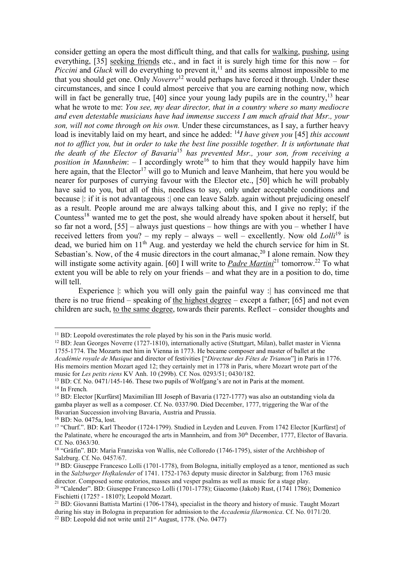consider getting an opera the most difficult thing, and that calls for walking, pushing, using everything, [35] seeking friends etc., and in fact it is surely high time for this now – for *Piccini* and *Gluck* will do everything to prevent it,  $\frac{1}{1}$  and its seems almost impossible to me that you should get one. Only *Noverre*<sup>12</sup> would perhaps have forced it through. Under these circumstances, and since I could almost perceive that you are earning nothing now, which will in fact be generally true,  $[40]$  since your young lady pupils are in the country, <sup>13</sup> hear what he wrote to me: *You see, my dear director, that in a country where so many mediocre and even detestable musicians have had immense success I am much afraid that Msr., your son, will not come through on his own.* Under these circumstances, as I say, a further heavy load is inevitably laid on my heart, and since he added: <sup>14</sup>*I have given you* [45] *this account not to afflict you, but in order to take the best line possible together. It is unfortunate that the death of the Elector of Bavaria*<sup>15</sup> *has prevented Msr., your son, from receiving a*  provided that they would happily have him position in *Mannheim*: – I accordingly wrote<sup>16</sup> to him that they would happily have him here again, that the Elector<sup>17</sup> will go to Munich and leave Manheim, that here you would be nearer for purposes of currying favour with the Elector etc., [50] which he will probably have said to you, but all of this, needless to say, only under acceptable conditions and because |: if it is not advantageous :| one can leave Salzb. again without prejudicing oneself as a result. People around me are always talking about this, and I give no reply; if the Countess<sup>18</sup> wanted me to get the post, she would already have spoken about it herself, but so far not a word, [55] – always just questions – how things are with you – whether I have received letters from you? – my reply – always – well – excellently. Now old *Lolli*<sup>19</sup> is dead, we buried him on 11<sup>th</sup> Aug. and vesterday we held the church service for him in St. Sebastian's. Now, of the 4 music directors in the court almanac,  $20$  I alone remain. Now they will instigate some activity again. [60] I will write to *Padre Martini*<sup>21</sup> tomorrow.<sup>22</sup> To what extent you will be able to rely on your friends – and what they are in a position to do, time will tell.

Experience |: which you will only gain the painful way :| has convinced me that there is no true friend – speaking of the highest degree – except a father; [65] and not even children are such, to the same degree, towards their parents. Reflect – consider thoughts and

 $\overline{a}$  $11$  BD: Leopold overestimates the role played by his son in the Paris music world.

<sup>12</sup> BD: Jean Georges Noverre (1727-1810), internationally active (Stuttgart, Milan), ballet master in Vienna 1755-1774. The Mozarts met him in Vienna in 1773. He became composer and master of ballet at the *Académie royale de Musique* and director of festivities ["*Directeur des Fêtes de Trianon*"] in Paris in 1776. His memoirs mention Mozart aged 12; they certainly met in 1778 in Paris, where Mozart wrote part of the music for *Les petits riens* KV Anh. 10 (299b). Cf. Nos. 0293/51; 0430/182.

<sup>&</sup>lt;sup>13</sup> BD: Cf. No. 0471/145-146. These two pupils of Wolfgang's are not in Paris at the moment. <sup>14</sup> In French*.*

<sup>&</sup>lt;sup>15</sup> BD: Elector [Kurfürst] Maximilian III Joseph of Bavaria (1727-1777) was also an outstanding viola da gamba player as well as a composer. Cf. No. 0337/90. Died December, 1777, triggering the War of the Bavarian Succession involving Bavaria, Austria and Prussia.

<sup>16</sup> BD: No. 0475a, lost.

<sup>&</sup>lt;sup>17</sup> "Churf.". BD: Karl Theodor (1724-1799). Studied in Leyden and Leuven. From 1742 Elector [Kurfürst] of the Palatinate, where he encouraged the arts in Mannheim, and from 30<sup>th</sup> December, 1777, Elector of Bavaria. Cf. No. 0363/30.

<sup>&</sup>lt;sup>18</sup> "Gräfin". BD: Maria Franziska von Wallis, née Colloredo (1746-1795), sister of the Archbishop of Salzburg. Cf. No. 0457/67.

 $19$  BD: Giuseppe Francesco Lolli (1701-1778), from Bologna, initially employed as a tenor, mentioned as such in the *Salzburger Hofkalender* of 1741. 1752-1763 deputy music director in Salzburg; from 1763 music director. Composed some oratorios, masses and vesper psalms as well as music for a stage play.

<sup>&</sup>lt;sup>20</sup> "Calender". BD: Giuseppe Francesco Lolli (1701-1778); Giacomo (Jakob) Rust, (1741 1786); Domenico Fischietti (1725? - 1810?); Leopold Mozart.

<sup>21</sup> BD: Giovanni Battista Martini (1706-1784), specialist in the theory and history of music. Taught Mozart during his stay in Bologna in preparation for admission to the *Accademia filarmonica*. Cf. No. 0171/20. <sup>22</sup> BD: Leopold did not write until  $21<sup>st</sup>$  August, 1778. (No. 0477)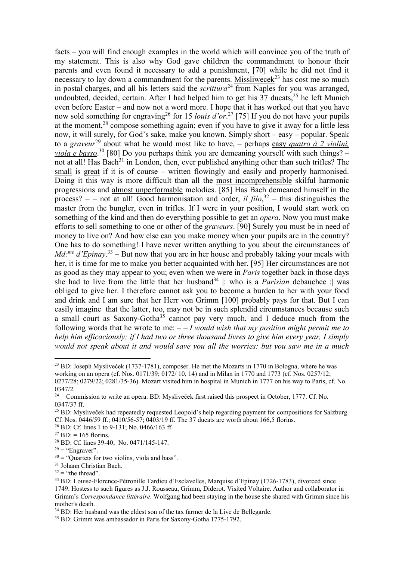facts – you will find enough examples in the world which will convince you of the truth of my statement. This is also why God gave children the commandment to honour their parents and even found it necessary to add a punishment, [70] while he did not find it necessary to lay down a commandment for the parents. Missliwece $k^{23}$  has cost me so much in postal charges, and all his letters said the *scrittura*<sup>24</sup> from Naples for you was arranged, undoubted, decided, certain. After I had helped him to get his  $37$  ducats,<sup>25</sup> he left Munich even before Easter – and now not a word more. I hope that it has worked out that you have now sold something for engraving<sup>26</sup> for 15 *louis d'or*.<sup>27</sup> [75] If you do not have your pupils at the moment,<sup>28</sup> compose something again; even if you have to give it away for a little less now, it will surely, for God's sake, make you known. Simply short – easy – popular. Speak to a *graveur*<sup>29</sup> about what he would most like to have, – perhaps easy *quatro à 2 violini, viola e basso*. <sup>30</sup> [80] Do you perhaps think you are demeaning yourself with such things? – not at all! Has Bach<sup>31</sup> in London, then, ever published anything other than such trifles? The small is great if it is of course – written flowingly and easily and properly harmonised. Doing it this way is more difficult than all the most incomprehensible skilful harmonic progressions and almost unperformable melodies. [85] Has Bach demeaned himself in the process?  $-$  – not at all! Good harmonisation and order, *il filo*,<sup>32</sup> – this distinguishes the master from the bungler, even in trifles. If I were in your position, I would start work on something of the kind and then do everything possible to get an *opera*. Now you must make efforts to sell something to one or other of the *graveurs*. [90] Surely you must be in need of money to live on? And how else can you make money when your pupils are in the country? One has to do something! I have never written anything to you about the circumstances of *Md:me d'Epinay*. <sup>33</sup> – But now that you are in her house and probably taking your meals with her, it is time for me to make you better acquainted with her. [95] Her circumstances are not as good as they may appear to you; even when we were in *Paris* together back in those days she had to live from the little that her husband<sup>34</sup> : who is a *Parisian* debauchee : was obliged to give her. I therefore cannot ask you to become a burden to her with your food and drink and I am sure that her Herr von Grimm [100] probably pays for that. But I can easily imagine that the latter, too, may not be in such splendid circumstances because such a small court as Saxony-Gotha<sup>35</sup> cannot pay very much, and I deduce much from the following words that he wrote to me: – – *I would wish that my position might permit me to help him efficaciously; if I had two or three thousand livres to give him every year, I simply would not speak about it and would save you all the worries: but you saw me in a much* 

<sup>&</sup>lt;sup>23</sup> BD: Joseph Mysliveček (1737-1781), composer. He met the Mozarts in 1770 in Bologna, where he was working on an opera (cf. Nos. 0171/39; 0172/ 10, 14) and in Milan in 1770 and 1773 (cf. Nos. 0257/12; 0277/28; 0279/22; 0281/35-36). Mozart visited him in hospital in Munich in 1777 on his way to Paris, cf. No. 0347/2.

 $24$  = Commission to write an opera. BD: Mysliveček first raised this prospect in October, 1777. Cf. No. 0347/37 ff.

<sup>&</sup>lt;sup>25</sup> BD: Mysliveček had repeatedly requested Leopold's help regarding payment for compositions for Salzburg. Cf. Nos. 0446/59 ff.; 0410/56-57; 0403/19 ff. The 37 ducats are worth about 166,5 florins.

<sup>26</sup> BD: Cf. lines 1 to 9-131; No. 0466/163 ff.

 $^{27}$  BD: = 165 florins.

<sup>28</sup> BD: Cf. lines 39-40; No. 0471/145-147.

 $29$  = "Engraver".

 $30 =$  "Quartets for two violins, viola and bass".

<sup>&</sup>lt;sup>31</sup> Johann Christian Bach.

 $32$  = "the thread".

<sup>33</sup> BD: Louise-Florence-Pétronille Tardieu d'Esclavelles, Marquise d'Epinay (1726-1783), divorced since 1749. Hostess to such figures as J.J. Rousseau, Grimm, Diderot. Visited Voltaire. Author and collaborator in Grimm's *Correspondance littéraire*. Wolfgang had been staying in the house she shared with Grimm since his mother's death.

<sup>&</sup>lt;sup>34</sup> BD: Her husband was the eldest son of the tax farmer de la Live de Bellegarde.

<sup>35</sup> BD: Grimm was ambassador in Paris for Saxony-Gotha 1775-1792.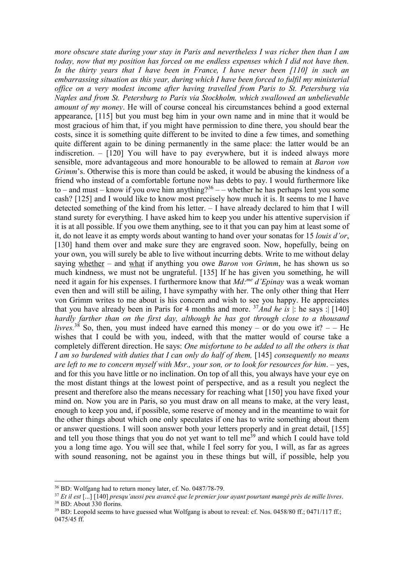*more obscure state during your stay in Paris and nevertheless I was richer then than I am today, now that my position has forced on me endless expenses which I did not have then.*  In the thirty years that I have been in France, I have never been [110] in such an *embarrassing situation as this year, during which I have been forced to fulfil my ministerial office on a very modest income after having travelled from Paris to St. Petersburg via Naples and from St. Petersburg to Paris via Stockholm, which swallowed an unbelievable amount of my money*. He will of course conceal his circumstances behind a good external appearance, [115] but you must beg him in your own name and in mine that it would be most gracious of him that, if you might have permission to dine there, you should bear the costs, since it is something quite different to be invited to dine a few times, and something quite different again to be dining permanently in the same place: the latter would be an indiscretion. – [120] You will have to pay everywhere, but it is indeed always more sensible, more advantageous and more honourable to be allowed to remain at *Baron von Grimm*'s. Otherwise this is more than could be asked, it would be abusing the kindness of a friend who instead of a comfortable fortune now has debts to pay. I would furthermore like to – and must – know if you owe him anything?<sup>36</sup> – – whether he has perhaps lent you some cash? [125] and I would like to know most precisely how much it is. It seems to me I have detected something of the kind from his letter. – I have already declared to him that I will stand surety for everything. I have asked him to keep you under his attentive supervision if it is at all possible. If you owe them anything, see to it that you can pay him at least some of it, do not leave it as empty words about wanting to hand over your sonatas for 15 *louis d'or*, [130] hand them over and make sure they are engraved soon. Now, hopefully, being on your own, you will surely be able to live without incurring debts. Write to me without delay saying whether – and what if anything you owe *Baron von Grimm*, he has shown us so much kindness, we must not be ungrateful. [135] If he has given you something, he will need it again for his expenses. I furthermore know that *Md:me d'Epinay* was a weak woman even then and will still be ailing, I have sympathy with her. The only other thing that Herr von Grimm writes to me about is his concern and wish to see you happy. He appreciates that you have already been in Paris for 4 months and more.  $37$ *And he is* |: he says : [140] *hardly farther than on the first day, although he has got through close to a thousand livres.*<sup>38</sup> So, then, you must indeed have earned this money – or do you owe it?  $-$  He wishes that I could be with you, indeed, with that the matter would of course take a completely different direction. He says: *One misfortune to be added to all the others is that I am so burdened with duties that I can only do half of them,* [145] *consequently no means are left to me to concern myself with Msr., your son, or to look for resources for him*. – yes, and for this you have little or no inclination. On top of all this, you always have your eye on the most distant things at the lowest point of perspective, and as a result you neglect the present and therefore also the means necessary for reaching what [150] you have fixed your mind on. Now you are in Paris, so you must draw on all means to make, at the very least, enough to keep you and, if possible, some reserve of money and in the meantime to wait for the other things about which one only speculates if one has to write something about them or answer questions. I will soon answer both your letters properly and in great detail, [155] and tell you those things that you do not yet want to tell me<sup>39</sup> and which I could have told you a long time ago. You will see that, while I feel sorry for you, I will, as far as agrees with sound reasoning, not be against you in these things but will, if possible, help you

<sup>36</sup> BD: Wolfgang had to return money later, cf. No. 0487/78-79.

<sup>37</sup> *Et il est* [...] [140] *presqu'aussi peu avancé que le premier jour ayant pourtant mangé près de mille livres*. <sup>38</sup> BD: About 330 florins.

<sup>&</sup>lt;sup>39</sup> BD: Leopold seems to have guessed what Wolfgang is about to reveal: cf. Nos. 0458/80 ff.; 0471/117 ff.; 0475/45 ff.